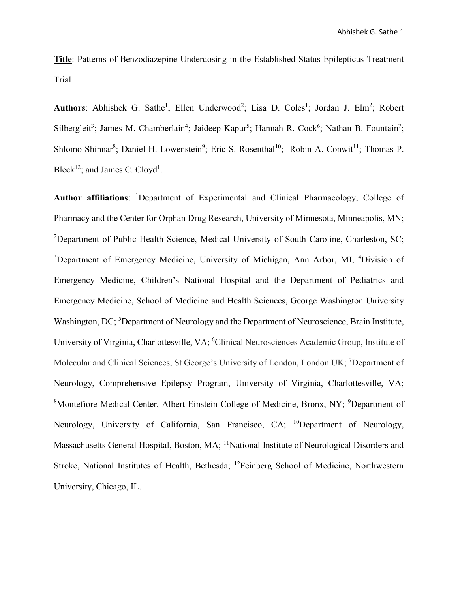**Title**: Patterns of Benzodiazepine Underdosing in the Established Status Epilepticus Treatment Trial

Authors: Abhishek G. Sathe<sup>1</sup>; Ellen Underwood<sup>2</sup>; Lisa D. Coles<sup>1</sup>; Jordan J. Elm<sup>2</sup>; Robert Silbergleit<sup>3</sup>; James M. Chamberlain<sup>4</sup>; Jaideep Kapur<sup>5</sup>; Hannah R. Cock<sup>6</sup>; Nathan B. Fountain<sup>7</sup>; Shlomo Shinnar<sup>8</sup>; Daniel H. Lowenstein<sup>9</sup>; Eric S. Rosenthal<sup>10</sup>; Robin A. Conwit<sup>11</sup>; Thomas P. Bleck<sup>12</sup>; and James C. Cloyd<sup>1</sup>.

Author affiliations: <sup>1</sup>Department of Experimental and Clinical Pharmacology, College of Pharmacy and the Center for Orphan Drug Research, University of Minnesota, Minneapolis, MN; <sup>2</sup>Department of Public Health Science, Medical University of South Caroline, Charleston, SC; <sup>3</sup>Department of Emergency Medicine, University of Michigan, Ann Arbor, MI; <sup>4</sup>Division of Emergency Medicine, Children's National Hospital and the Department of Pediatrics and Emergency Medicine, School of Medicine and Health Sciences, George Washington University Washington, DC; <sup>5</sup>Department of Neurology and the Department of Neuroscience, Brain Institute, University of Virginia, Charlottesville, VA; <sup>6</sup>Clinical Neurosciences Academic Group, Institute of Molecular and Clinical Sciences, St George's University of London, London UK; <sup>7</sup>Department of Neurology, Comprehensive Epilepsy Program, University of Virginia, Charlottesville, VA; <sup>8</sup>Montefiore Medical Center, Albert Einstein College of Medicine, Bronx, NY; <sup>9</sup>Department of Neurology, University of California, San Francisco, CA; <sup>10</sup>Department of Neurology, Massachusetts General Hospital, Boston, MA; <sup>11</sup>National Institute of Neurological Disorders and Stroke, National Institutes of Health, Bethesda; <sup>12</sup>Feinberg School of Medicine, Northwestern University, Chicago, IL.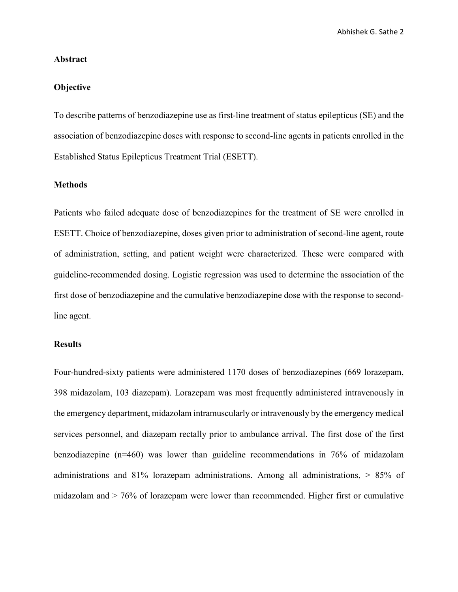Abhishek G. Sathe 2

### **Abstract**

## **Objective**

To describe patterns of benzodiazepine use as first-line treatment of status epilepticus (SE) and the association of benzodiazepine doses with response to second-line agents in patients enrolled in the Established Status Epilepticus Treatment Trial (ESETT).

# **Methods**

Patients who failed adequate dose of benzodiazepines for the treatment of SE were enrolled in ESETT. Choice of benzodiazepine, doses given prior to administration of second-line agent, route of administration, setting, and patient weight were characterized. These were compared with guideline-recommended dosing. Logistic regression was used to determine the association of the first dose of benzodiazepine and the cumulative benzodiazepine dose with the response to secondline agent.

#### **Results**

Four-hundred-sixty patients were administered 1170 doses of benzodiazepines (669 lorazepam, 398 midazolam, 103 diazepam). Lorazepam was most frequently administered intravenously in the emergency department, midazolam intramuscularly or intravenously by the emergency medical services personnel, and diazepam rectally prior to ambulance arrival. The first dose of the first benzodiazepine (n=460) was lower than guideline recommendations in 76% of midazolam administrations and 81% lorazepam administrations. Among all administrations, > 85% of midazolam and > 76% of lorazepam were lower than recommended. Higher first or cumulative